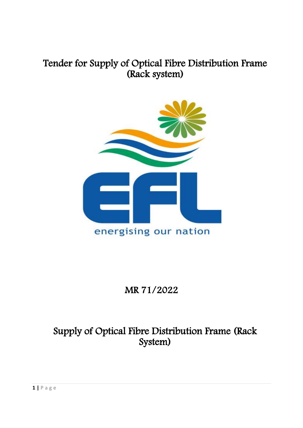# Tender for Supply of Optical Fibre Distribution Frame (Rack system)



# MR 71/2022

# Supply of Optical Fibre Distribution Frame (Rack System)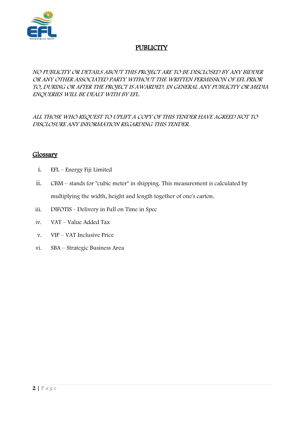

## **PUBLICITY**

#### NO PUBLICITY OR DETAILS ABOUT THIS PROJECT ARE TO BE DISCLOSED BY ANY BIDDER OR ANY OTHER ASSOCIATED PARTY WITHOUT THE WRITTEN PERMISSION OF EFL PRIOR TO, DURING OR AFTER THE PROJECT IS AWARDED. IN GENERAL ANY PUBLICITY OR MEDIA ENQUERIES WILL BE DEALT WITH BY EFL.

ALL THOSE WHO REQUEST TO UPLIFT A COPY OF THIS TENDER HAVE AGREED NOT TO DISCLOSURE ANY INFORMATION REGARDING THIS TENDER.

#### Glossary

- i. EFL Energy Fiji Limited
- ii. CBM stands for "cubic meter" in shipping. This measurement is calculated by multiplying the width, height and length together of one's carton.
- iii. DIFOTIS Delivery in Full on Time in Spec
- iv. VAT Value Added Tax
- v. VIP VAT Inclusive Price
- vi. SBA Strategic Business Area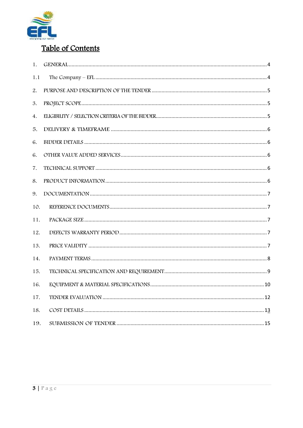

## Table of Contents

| 1.  |  |
|-----|--|
| 1.1 |  |
| 2.  |  |
| 3.  |  |
| 4.  |  |
| 5.  |  |
| 6.  |  |
| 6.  |  |
| 7.  |  |
| 8.  |  |
| 9.  |  |
| 10. |  |
| 11. |  |
| 12. |  |
| 13. |  |
| 14. |  |
| 15. |  |
| 16. |  |
| 17. |  |
| 18. |  |
| 19. |  |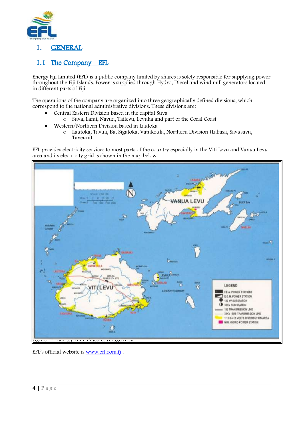

#### <span id="page-3-0"></span>1. GENERAL

#### <span id="page-3-1"></span>1.1 The Company – EFL

Energy Fiji Limited (EFL) is a public company limited by shares is solely responsible for supplying power throughout the Fiji Islands. Power is supplied through Hydro, Diesel and wind mill generators located in different parts of Fiji.

The operations of the company are organized into three geographically defined divisions, which correspond to the national administrative divisions. These divisions are:

- Central Eastern Division based in the capital Suva
	- o Suva, Lami, Navua, Tailevu, Levuka and part of the Coral Coast
- Western/Northern Division based in Lautoka
	- o Lautoka, Tavua, Ba, Sigatoka, Vatukoula, Northern Division (Labasa, Savusavu, Taveuni)

EFL provides electricity services to most parts of the country especially in the Viti Levu and Vanua Levu area and its electricity grid is shown in the map below.



EFL's official website is [www.efl.com.fj](http://www.efl.com.fj/) .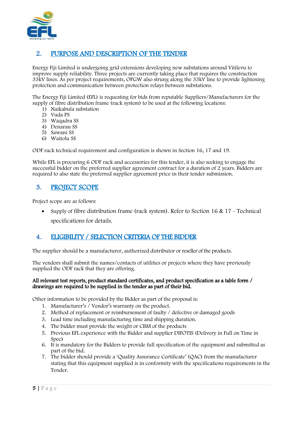

#### <span id="page-4-0"></span>2. PURPOSE AND DESCRIPTION OF THE TENDER

Energy Fiji Limited is undergoing grid extensions developing new substations around Vitilevu to improve supply reliability. Three projects are currently taking place that requires the construction 33kV lines. As per project requirements, OPGW also strung along the 33kV line to provide lightening protection and communication between protection relays between substations.

The Energy Fiji Limited (EFL) is requesting for bids from reputable Suppliers/Manufacturers for the supply of fibre distribution frame (rack system) to be used at the following locations:

- 1) Naikabula substation
- 2) Vuda PS
- 3) Waqadra SS
- 4) Denarau SS
- 5) Sawani SS
- 6) Waitolu SS

ODF rack technical requirement and configuration is shown in Section 16, 17 and 19.

While EFL is procuring 6 ODF rack and accessories for this tender, it is also seeking to engage the successful bidder on the preferred supplier agreement contract for a duration of 2 years. Bidders are required to also state the preferred supplier agreement price in their tender submission.

#### <span id="page-4-1"></span>3. PROJECT SCOPE

Project scope are as follows:

 Supply of fibre distribution frame (rack system). Refer to Section 16 & 17 - Technical specifications for details.

#### <span id="page-4-2"></span>4. ELIGIBILITY / SELECTION CRITERIA OF THE BIDDER

The supplier should be a manufacturer, authorized distributor or reseller of the products.

The vendors shall submit the names/contacts of utilities or projects where they have previously supplied the ODF rack that they are offering.

#### All relevant test reports, product standard certificates, and product specification as a table form / drawings are required to be supplied in the tender as part of their bid.

Other information to be provided by the Bidder as part of the proposal is:

- 1. Manufacturer's / Vendor's warranty on the product.
- 2. Method of replacement or reimbursement of faulty / defective or damaged goods
- 3. Lead time including manufacturing time and shipping duration.
- 4. The bidder must provide the weight or CBM of the products
- 5. Previous EFL experience with the Bidder and supplier DIFOTIS (Delivery in Full on Time in Spec)
- 6. It is mandatory for the Bidders to provide full specification of the equipment and submitted as part of the bid.
- 7. The bidder should provide a 'Quality Assurance Certificate' (QAC) from the manufacturer stating that this equipment supplied is in conformity with the specifications requirements in the Tender.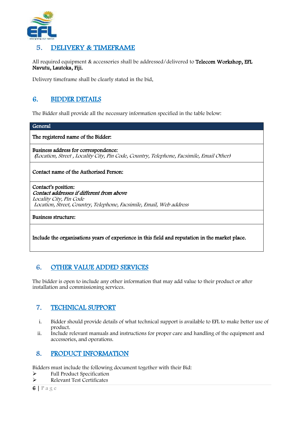

#### <span id="page-5-0"></span>5. DELIVERY & TIMEFRAME

All required equipment & accessories shall be addressed/delivered to Telecom Workshop, EFL Navutu, Lautoka, Fiji.

Delivery timeframe shall be clearly stated in the bid.

#### <span id="page-5-1"></span>6. BIDDER DETAILS

The Bidder shall provide all the necessary information specified in the table below:

#### General

The registered name of the Bidder:

Business address for correspondence: (Location, Street , Locality City, Pin Code, Country, Telephone, Facsimile, Email Other)

#### Contact name of the Authorised Person:

Contact's position: Contact addresses if different from above Locality City, Pin Code Location, Street, Country, Telephone, Facsimile, Email, Web address

Business structure:

Include the organisations years of experience in this field and reputation in the market place.

#### <span id="page-5-2"></span>6. OTHER VALUE ADDED SERVICES

The bidder is open to include any other information that may add value to their product or after installation and commissioning services.

#### <span id="page-5-3"></span>7. TECHNICAL SUPPORT

- i. Bidder should provide details of what technical support is available to EFL to make better use of product.
- ii. Include relevant manuals and instructions for proper care and handling of the equipment and accessories, and operations.

#### <span id="page-5-4"></span>8. PRODUCT INFORMATION

Bidders must include the following document together with their Bid:

- Full Product Specification
- Relevant Test Certificates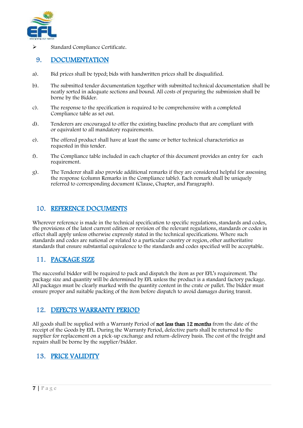

Standard Compliance Certificate.

#### <span id="page-6-0"></span>9. DOCUMENTATION

- a). Bid prices shall be typed; bids with handwritten prices shall be disqualified.
- b). The submitted tender documentation together with submitted technical documentation shall be neatly sorted in adequate sections and bound. All costs of preparing the submission shall be borne by the Bidder.
- c). The response to the specification is required to be comprehensive with a completed Compliance table as set out.
- d). Tenderers are encouraged to offer the existing baseline products that are compliant with or equivalent to all mandatory requirements.
- e). The offered product shall have at least the same or better technical characteristics as requested in this tender.
- f). The Compliance table included in each chapter of this document provides an entry for each requirement.
- g). The Tenderer shall also provide additional remarks if they are considered helpful for assessing the response (column Remarks in the Compliance table). Each remark shall be uniquely referred to corresponding document (Clause, Chapter, and Paragraph).

#### <span id="page-6-1"></span>10. REFERENCE DOCUMENTS

Wherever reference is made in the technical specification to specific regulations, standards and codes, the provisions of the latest current edition or revision of the relevant regulations, standards or codes in effect shall apply unless otherwise expressly stated in the technical specifications. Where such standards and codes are national or related to a particular country or region, other authoritative standards that ensure substantial equivalence to the standards and codes specified will be acceptable.

### <span id="page-6-2"></span>11. PACKAGE SIZE

The successful bidder will be required to pack and dispatch the item as per EFL's requirement. The package size and quantity will be determined by EFL unless the product is a standard factory package. All packages must be clearly marked with the quantity content in the crate or pallet. The bidder must ensure proper and suitable packing of the item before dispatch to avoid damages during transit.

#### <span id="page-6-3"></span>12. DEFECTS WARRANTY PERIOD

All goods shall be supplied with a Warranty Period of **not less than 12 months** from the date of the receipt of the Goods by EFL. During the Warranty Period, defective parts shall be returned to the supplier for replacement on a pick-up exchange and return-delivery basis. The cost of the freight and repairs shall be borne by the supplier/bidder.

#### <span id="page-6-4"></span>13. PRICE VALIDITY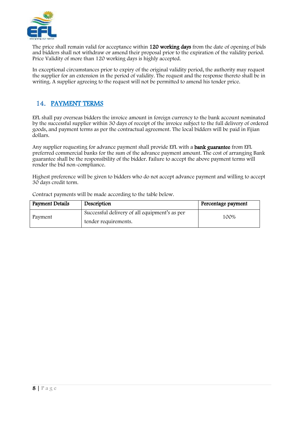

The price shall remain valid for acceptance within 120 working days from the date of opening of bids and bidders shall not withdraw or amend their proposal prior to the expiration of the validity period. Price Validity of more than 120 working days is highly accepted.

In exceptional circumstances prior to expiry of the original validity period, the authority may request the supplier for an extension in the period of validity. The request and the response thereto shall be in writing. A supplier agreeing to the request will not be permitted to amend his tender price.

### <span id="page-7-0"></span>14. PAYMENT TERMS

EFL shall pay overseas bidders the invoice amount in foreign currency to the bank account nominated by the successful supplier within 30 days of receipt of the invoice subject to the full delivery of ordered goods, and payment terms as per the contractual agreement. The local bidders will be paid in Fijian dollars.

Any supplier requesting for advance payment shall provide EFL with a **bank guarantee** from EFL preferred commercial banks for the sum of the advance payment amount. The cost of arranging Bank guarantee shall be the responsibility of the bidder. Failure to accept the above payment terms will render the bid non-compliance.

Highest preference will be given to bidders who do not accept advance payment and willing to accept 30 days credit term.

| Payment Details | Description                                   | Percentage payment |
|-----------------|-----------------------------------------------|--------------------|
| Payment         | Successful delivery of all equipment's as per | 100%               |
|                 | tender requirements.                          |                    |

Contract payments will be made according to the table below.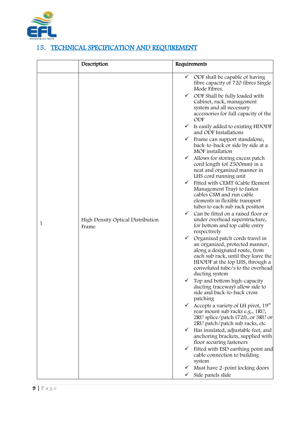

## <span id="page-8-0"></span>15. TECHNICAL SPECIFICATION AND REQUIREMENT

|   | Description                                | Requirements                                                                                                                                                                                                                                              |
|---|--------------------------------------------|-----------------------------------------------------------------------------------------------------------------------------------------------------------------------------------------------------------------------------------------------------------|
|   |                                            | $\checkmark$ ODF shall be capable of having<br>fibre capacity of 720 fibres Single<br>Mode Fibres.<br>$\checkmark$ ODF Shall be fully loaded with<br>Cabinet, rack, management<br>system and all necessary<br>accessories for full capacity of the<br>ODF |
|   |                                            | $\checkmark$ Is easily added to existing HDODF<br>and ODF Installations                                                                                                                                                                                   |
|   |                                            | ✓<br>Frame can support standalone,<br>back-to-back or side by side at a<br>MOF installation                                                                                                                                                               |
|   |                                            | Allows for storing excess patch<br>$\checkmark$<br>cord length (of 2500mm) in a<br>neat and organized manner in<br>LHS cord running unit<br>$\checkmark$ Fitted with CEMT (Cable Element                                                                  |
|   |                                            | Management Tray) to fasten<br>cables CSM and run cable<br>elements in flexible transport<br>tubes to each sub rack position                                                                                                                               |
| 1 | High Density Optical Distribution<br>Frame | $\checkmark$ Can be fitted on a raised floor or<br>under overhead superstructure,<br>for bottom and top cable entry<br>respectively                                                                                                                       |
|   |                                            | $\checkmark$ Organized patch cords travel in<br>an organized, protected manner,<br>along a designated route, from<br>each sub rack, until they leave the<br>HDODF at the top LHS, through a<br>convoluted tube/s to the overhead<br>ducting system        |
|   |                                            | $\checkmark$ Top and bottom high-capacity<br>ducting (raceway) allow side to<br>side and back-to-back cross<br>patching                                                                                                                                   |
|   |                                            | $\checkmark$<br>Accepts a variety of LH pivot, 19"<br>rear mount sub racks e.g., 1RU,<br>2RU splice/patch (72f), or 3RU or<br>2RU patch/patch sub racks, etc                                                                                              |
|   |                                            | Has insulated, adjustable feet, and<br>✓<br>anchoring brackets, supplied with<br>floor securing fasteners                                                                                                                                                 |
|   |                                            | Fitted with ESD earthing point and<br>cable connection to building<br>system                                                                                                                                                                              |
|   |                                            | Must have 2-point locking doors<br>✓<br>Side panels slide<br>$\checkmark$                                                                                                                                                                                 |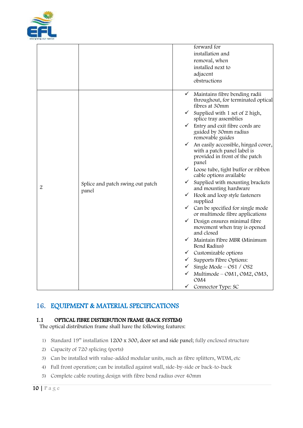

|                |                                           | forward for                                                                                                                |
|----------------|-------------------------------------------|----------------------------------------------------------------------------------------------------------------------------|
|                |                                           | installation and                                                                                                           |
|                |                                           | removal, when                                                                                                              |
|                |                                           | installed next to                                                                                                          |
|                |                                           | adjacent                                                                                                                   |
|                |                                           | obstructions                                                                                                               |
|                |                                           |                                                                                                                            |
|                |                                           | $\checkmark$ Maintains fibre bending radii<br>throughout, for terminated optical<br>fibres at 30mm                         |
|                |                                           | $\checkmark$<br>Supplied with 1 set of 2 high,<br>splice tray assemblies                                                   |
|                |                                           | $\checkmark$ Entry and exit fibre cords are<br>guided by 30mm radius<br>removable guides                                   |
|                |                                           | $\checkmark$ An easily accessible, hinged cover,<br>with a patch panel label is<br>provided in front of the patch<br>panel |
|                |                                           | $\checkmark$ Loose tube, tight buffer or ribbon<br>cable options available                                                 |
| $\overline{2}$ | Splice and patch swing out patch<br>panel | Supplied with mounting brackets<br>$\checkmark$<br>and mounting hardware                                                   |
|                |                                           | $\checkmark$ Hook and loop style fasteners<br>supplied                                                                     |
|                |                                           | $\checkmark$ Can be specified for single mode<br>or multimode fibre applications                                           |
|                |                                           | $\checkmark$ Design ensures minimal fibre<br>movement when tray is opened<br>and closed                                    |
|                |                                           | $\checkmark$ Maintain Fibre MBR (Minimum<br>Bend Radius)                                                                   |
|                |                                           | $\checkmark$ Customizable options                                                                                          |
|                |                                           | $\checkmark$ Supports Fibre Options:                                                                                       |
|                |                                           | Single Mode - OS1 / OS2<br>$\checkmark$                                                                                    |
|                |                                           | $\checkmark$ Multimode – OM1, OM2, OM3,<br>OM4                                                                             |
|                |                                           | Connector Type: SC                                                                                                         |

### <span id="page-9-0"></span>16. EQUIPMENT & MATERIAL SPECIFICATIONS

#### 1.1 OPTICAL FIBRE DISTRIBUTION FRAME (RACK SYSTEM)

The optical distribution frame shall have the following features:

- 1) Standard 19" installation 1200 x 300, door set and side panel; fully enclosed structure
- 2) Capacity of 720 splicing (ports)
- 3) Can be installed with value-added modular units, such as fibre splitters, WDM, etc
- 4) Full front operation; can be installed against wall, side-by-side or back-to-back
- 5) Complete cable routing design with fibre bend radius over 40mm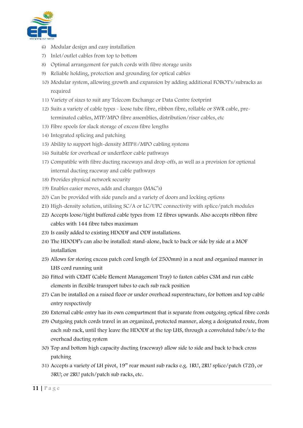

- 6) Modular design and easy installation
- 7) Inlet/outlet cables from top to bottom
- 8) Optimal arrangement for patch cords with fibre storage units
- 9) Reliable holding, protection and grounding for optical cables
- 10) Modular system, allowing growth and expansion by adding additional FOBOT's/subracks as required
- 11) Variety of sizes to suit any Telecom Exchange or Data Centre footprint
- 12) Suits a variety of cable types loose tube fibre, ribbon fibre, rollable or SWR cable, preterminated cables, MTP/MPO fibre assemblies, distribution/riser cables, etc
- 13) Fibre spools for slack storage of excess fibre lengths
- 14) Integrated splicing and patching
- 15) Ability to support high-density MTP®/MPO cabling systems
- 16) Suitable for overhead or underfloor cable pathways
- 17) Compatible with fibre ducting raceways and drop-offs, as well as a provision for optional internal ducting raceway and cable pathways
- 18) Provides physical network security
- 19) Enables easier moves, adds and changes (MAC's)
- 20) Can be provided with side panels and a variety of doors and locking options
- 21) High-density solution, utilising SC/A or LC/UPC connectivity with splice/patch modules
- 22) Accepts loose/tight buffered cable types from 12 fibres upwards. Also accepts ribbon fibre cables with 144 fibre tubes maximum
- 23) Is easily added to existing HDODF and ODF installations.
- 24) The HDODF's can also be installed: stand-alone, back to back or side by side at a MOF installation
- 25) Allows for storing excess patch cord length (of 2500mm) in a neat and organized manner in LHS cord running unit
- 26) Fitted with CEMT (Cable Element Management Tray) to fasten cables CSM and run cable elements in flexible transport tubes to each sub rack position
- 27) Can be installed on a raised floor or under overhead superstructure, for bottom and top cable entry respectively
- 28) External cable entry has its own compartment that is separate from outgoing optical fibre cords
- 29) Outgoing patch cords travel in an organized, protected manner, along a designated route, from each sub rack, until they leave the HDODF at the top LHS, through a convoluted tube/s to the overhead ducting system
- 30) Top and bottom high capacity ducting (raceway) allow side to side and back to back cross patching
- 31) Accepts a variety of LH pivot, 19" rear mount sub racks e.g. 1RU, 2RU splice/patch (72f), or 3RU; or 2RU patch/patch sub racks, etc.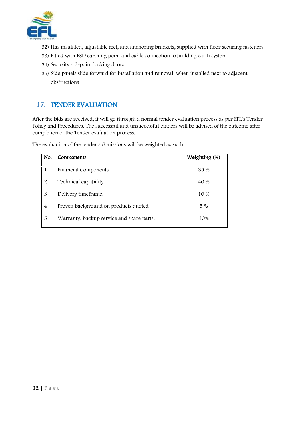

- 32) Has insulated, adjustable feet, and anchoring brackets, supplied with floor securing fasteners.
- 33) Fitted with ESD earthing point and cable connection to building earth system
- 34) Security 2-point locking doors
- 35) Side panels slide forward for installation and removal, when installed next to adjacent obstructions

#### <span id="page-11-0"></span>17. TENDER EVALUATION

After the bids are received, it will go through a normal tender evaluation process as per EFL's Tender Policy and Procedures. The successful and unsuccessful bidders will be advised of the outcome after completion of the Tender evaluation process.

The evaluation of the tender submissions will be weighted as such:

| No.                   | Components                                | Weighting (%) |
|-----------------------|-------------------------------------------|---------------|
|                       |                                           |               |
|                       | <b>Financial Components</b>               | 35 %          |
| $\mathcal{P}_{\cdot}$ | Technical capability                      | 40 %          |
| 3                     | Delivery timeframe.                       | 10 %          |
| $\overline{4}$        | Proven background on products quoted      | 5 %           |
| 5                     | Warranty, backup service and spare parts. | 10%           |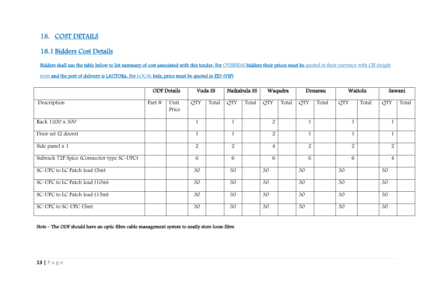## 18. COST DETAILS

#### 18.1 Bidders Cost Details

Bidders shall use the table below to list summary of cost associated with this tender. For OVERSEAS bidders their prices must be quoted in their currency with CIF freight

term and the port of delivery is LAUTOKa. For LOCAL bids, price must be quoted in FJD (VIP)

|                                           |        | <b>ODF</b> Details |            | Vuda SS |                | Naikabula SS |                | Waqadra |            | Denarau |                | Waitolu |                | Sawani |
|-------------------------------------------|--------|--------------------|------------|---------|----------------|--------------|----------------|---------|------------|---------|----------------|---------|----------------|--------|
| Description                               | Part # | Unit<br>Price      | <b>QTY</b> | Total   | <b>QTY</b>     | Total        | <b>QTY</b>     | Total   | <b>QTY</b> | Total   | <b>QTY</b>     | Total   | <b>QTY</b>     | Total  |
| Rack 1200 x 300                           |        |                    |            |         |                |              | $\overline{2}$ |         |            |         |                |         |                |        |
| Door set (2 doors)                        |        |                    |            |         |                |              | $\overline{2}$ |         |            |         |                |         |                |        |
| Side panel x 1                            |        |                    | 2          |         | $\overline{2}$ |              | 4              |         | 2          |         | $\overline{2}$ |         | $\overline{2}$ |        |
| Subrack 72F Spice (Connector type SC-UPC) |        |                    | 6          |         | 6              |              | 6              |         | 6          |         | 6              |         | $\overline{4}$ |        |
| SC-UPC to LC Patch lead (5m)              |        |                    | 30         |         | 30             |              | 30             |         | 30         |         | 30             |         | 30             |        |
| SC-UPC to LC Patch lead (10m)             |        |                    | 30         |         | 30             |              | 30             |         | 30         |         | 30             |         | 30             |        |
| SC-UPC to LC Patch lead (15m)             |        |                    | 30         |         | 30             |              | 30             |         | 30         |         | 30             |         | 30             |        |
| SC-UPC to SC-UPC (5m)                     |        |                    | 30         |         | 30             |              | 30             |         | 30         |         | 30             |         | 30             |        |

<span id="page-12-0"></span>Note – The ODF should have an optic fibre cable management system to neatly store loose fibre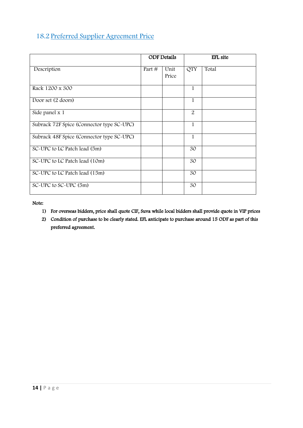### 18.2 Preferred Supplier Agreement Price

|                                           |          | <b>ODF</b> Details |              | EFL site |
|-------------------------------------------|----------|--------------------|--------------|----------|
| Description                               | Part $#$ | Unit<br>Price      | <b>QTY</b>   | Total    |
| Rack 1200 x 300                           |          |                    | 1            |          |
| Door set (2 doors)                        |          |                    | $\mathbf{1}$ |          |
| Side panel x 1                            |          |                    | 2            |          |
| Subrack 72F Spice (Connector type SC-UPC) |          |                    | 1            |          |
| Subrack 48F Spice (Connector type SC-UPC) |          |                    | $\mathbf{1}$ |          |
| SC-UPC to LC Patch lead (5m)              |          |                    | 30           |          |
| SC-UPC to LC Patch lead (10m)             |          |                    | 30           |          |
| SC-UPC to LC Patch lead (15m)             |          |                    | 30           |          |
| SC-UPC to SC-UPC (5m)                     |          |                    | 30           |          |

Note:

- 1) For overseas bidders, price shall quote CIF, Suva while local bidders shall provide quote in VIP prices
- 2) Condition of purchase to be clearly stated. EFL anticipate to purchase around 15 ODF as part of this preferred agreement.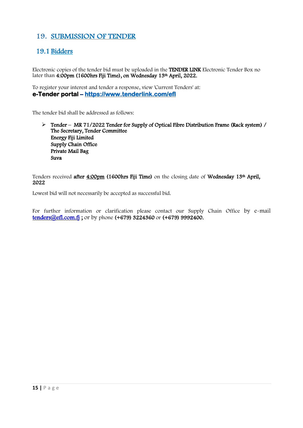#### <span id="page-14-0"></span>19. SUBMISSION OF TENDER

#### 19.1 Bidders

Electronic copies of the tender bid must be uploaded in the TENDER LINK Electronic Tender Box no later than 4:00pm (1600hrs Fiji Time), on Wednesday 13th April, 2022.

To register your interest and tender a response, view 'Current Tenders' at: **e-Tender portal –<https://www.tenderlink.com/efl>**

The tender bid shall be addressed as follows:

 Tender – MR 71/2022 Tender for Supply of Optical Fibre Distribution Frame (Rack system) / The Secretary, Tender Committee Energy Fiji Limited Supply Chain Office Private Mail Bag Suva

Tenders received after 4:00pm (1600hrs Fiji Time) on the closing date of Wednesday 13<sup>th</sup> April, 2022

Lowest bid will not necessarily be accepted as successful bid.

For further information or clarification please contact our Supply Chain Office by e-mail tenders@efl.com.fj; or by phone (+679) 3224360 or (+679) 9992400.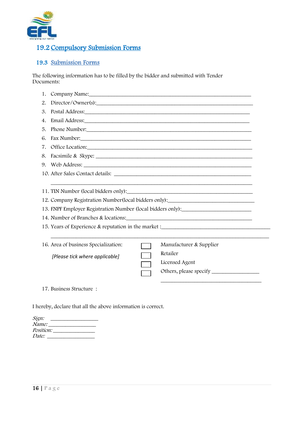

### 19.2 Compulsory Submission Forms

#### 19.3 Submission Forms

The following information has to be filled by the bidder and submitted with Tender Documents:

| Company Name: experience and the company name of the company name of the company name of the company of the company of the company of the company of the company of the company of the company of the company of the company o<br>1. |                                                                                                                                                                                                                                |  |  |  |  |  |  |  |
|--------------------------------------------------------------------------------------------------------------------------------------------------------------------------------------------------------------------------------------|--------------------------------------------------------------------------------------------------------------------------------------------------------------------------------------------------------------------------------|--|--|--|--|--|--|--|
| 2.                                                                                                                                                                                                                                   | Director/Owner(s):                                                                                                                                                                                                             |  |  |  |  |  |  |  |
| 3.                                                                                                                                                                                                                                   | Postal Address: North Contract of the Contract of the Contract of the Contract of the Contract of the Contract of the Contract of the Contract of the Contract of the Contract of the Contract of the Contract of the Contract |  |  |  |  |  |  |  |
| 4.                                                                                                                                                                                                                                   | Email Address: North American Secretary and Address and Address and Address and Address and Address and Address and Address and Address and Address and Address and Address and Address and Address and Address and Address an |  |  |  |  |  |  |  |
| 5.                                                                                                                                                                                                                                   | Phone Number:                                                                                                                                                                                                                  |  |  |  |  |  |  |  |
| 6.                                                                                                                                                                                                                                   | Fax Number: National Communication of the Communication of the Communication of the Communication of the Communication of the Communication of the Communication of the Communication of the Communication of the Communicatio |  |  |  |  |  |  |  |
| 7.                                                                                                                                                                                                                                   | Office Location:                                                                                                                                                                                                               |  |  |  |  |  |  |  |
|                                                                                                                                                                                                                                      | 8. Facsimile & Skype:                                                                                                                                                                                                          |  |  |  |  |  |  |  |
|                                                                                                                                                                                                                                      |                                                                                                                                                                                                                                |  |  |  |  |  |  |  |
|                                                                                                                                                                                                                                      |                                                                                                                                                                                                                                |  |  |  |  |  |  |  |
| 12. Company Registration Number (local bidders only):<br>13. FNPF Employer Registration Number (local bidders only):<br>15. Years of Experience & reputation in the market :_____________________________                            |                                                                                                                                                                                                                                |  |  |  |  |  |  |  |
|                                                                                                                                                                                                                                      |                                                                                                                                                                                                                                |  |  |  |  |  |  |  |
|                                                                                                                                                                                                                                      | 16. Area of business Specialization:<br>Manufacturer & Supplier                                                                                                                                                                |  |  |  |  |  |  |  |
|                                                                                                                                                                                                                                      | Retailer<br>[Please tick where applicable]<br>Licensed Agent                                                                                                                                                                   |  |  |  |  |  |  |  |
|                                                                                                                                                                                                                                      | 17. Business Structure:                                                                                                                                                                                                        |  |  |  |  |  |  |  |

I hereby, declare that all the above information is correct.

| Sign:            |  |  |
|------------------|--|--|
| <i>Name:</i>     |  |  |
| <i>Position:</i> |  |  |
| <i>Date:</i>     |  |  |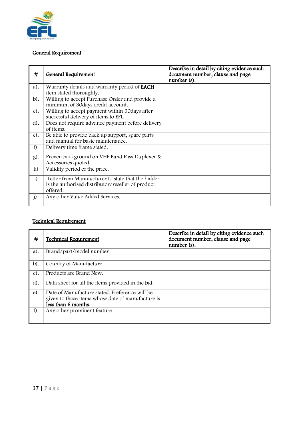

#### General Requirement

| #          | <b>General Requirement</b>                                                                                         | Describe in detail by citing evidence such<br>document number, clause and page<br>number (s). |
|------------|--------------------------------------------------------------------------------------------------------------------|-----------------------------------------------------------------------------------------------|
| a).        | Warranty details and warranty period of <b>EACH</b><br>item stated thoroughly.                                     |                                                                                               |
| $b$ ).     | Willing to accept Purchase Order and provide a<br>minimum of 30days credit account.                                |                                                                                               |
| $c$ ).     | Willing to accept payment within 30 days after<br>successful delivery of items to EFL.                             |                                                                                               |
| $d$ ).     | Does not require advance payment before delivery<br>of items.                                                      |                                                                                               |
| $e$ ).     | Be able to provide back up support, spare parts<br>and manual for basic maintenance.                               |                                                                                               |
| $f$ .      | Delivery time frame stated.                                                                                        |                                                                                               |
| g).        | Proven background on VHF Band Pass Duplexer &<br>Accessories quoted.                                               |                                                                                               |
| h)         | Validity period of the price.                                                                                      |                                                                                               |
| $\ddot{1}$ | Letter from Manufacturer to state that the bidder<br>is the authorised distributor/reseller of product<br>offered. |                                                                                               |
| $j$ .      | Any other Value Added Services.                                                                                    |                                                                                               |

### Technical Requirement

| #      | <b>Technical Requirement</b>                                             | Describe in detail by citing evidence such<br>document number, clause and page<br>number (s). |
|--------|--------------------------------------------------------------------------|-----------------------------------------------------------------------------------------------|
| $a)$ . | Brand/part/model number                                                  |                                                                                               |
| $b$ ). | Country of Manufacture                                                   |                                                                                               |
| $c$ ). | Products are Brand New.                                                  |                                                                                               |
| $d$ ). | Data sheet for all the items provided in the bid.                        |                                                                                               |
| $e$ ). | Date of Manufacture stated. Preference will be                           |                                                                                               |
|        | given to those items whose date of manufacture is<br>less than 6 months. |                                                                                               |
| f).    | Any other prominent feature                                              |                                                                                               |
|        |                                                                          |                                                                                               |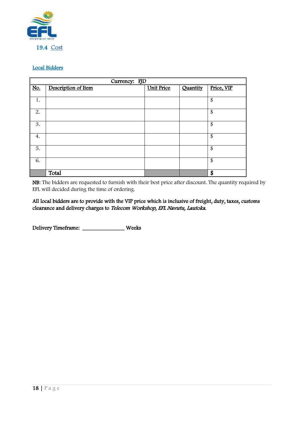

#### Local Bidders

|     | Currency: FJD       |                   |          |            |  |  |  |  |
|-----|---------------------|-------------------|----------|------------|--|--|--|--|
| No. | Description of Item | <b>Unit Price</b> | Quantity | Price, VIP |  |  |  |  |
|     |                     |                   |          |            |  |  |  |  |
| 1.  |                     |                   |          | \$         |  |  |  |  |
|     |                     |                   |          |            |  |  |  |  |
| 2.  |                     |                   |          | \$         |  |  |  |  |
|     |                     |                   |          |            |  |  |  |  |
| 3.  |                     |                   |          | \$         |  |  |  |  |
|     |                     |                   |          |            |  |  |  |  |
| 4.  |                     |                   |          | \$         |  |  |  |  |
|     |                     |                   |          |            |  |  |  |  |
| 5.  |                     |                   |          | \$         |  |  |  |  |
|     |                     |                   |          |            |  |  |  |  |
| 6.  |                     |                   |          | \$         |  |  |  |  |
|     |                     |                   |          |            |  |  |  |  |
|     | Total               |                   |          | \$         |  |  |  |  |

NB: The bidders are requested to furnish with their best price after discount. The quantity required by EFL will decided during the time of ordering.

All local bidders are to provide with the VIP price which is inclusive of freight, duty, taxes, customs clearance and delivery charges to Telecom Workshop, EFL Navutu, Lautoka.

Delivery Timeframe: \_\_\_\_\_\_\_\_\_\_\_\_\_\_\_ Weeks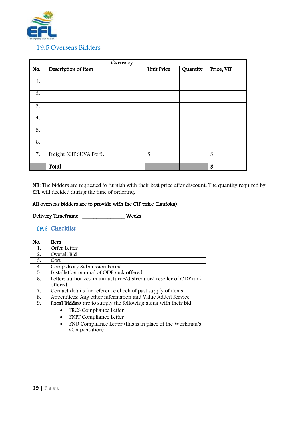

| Currency: |                          |                   |          |            |
|-----------|--------------------------|-------------------|----------|------------|
| No.       | Description of Item      | <b>Unit Price</b> | Quantity | Price, VIP |
|           |                          |                   |          |            |
| 1.        |                          |                   |          |            |
| 2.        |                          |                   |          |            |
| 3.        |                          |                   |          |            |
| 4.        |                          |                   |          |            |
| 5.        |                          |                   |          |            |
| 6.        |                          |                   |          |            |
| 7.        | Freight (CIF SUVA Port). | \$                |          | \$         |
|           | Total                    |                   |          | \$         |

NB: The bidders are requested to furnish with their best price after discount. The quantity required by EFL will decided during the time of ordering.

#### All overseas bidders are to provide with the CIF price (Lautoka).

Delivery Timeframe: \_\_\_\_\_\_\_\_\_\_\_\_\_\_\_ Weeks

#### 19.6 Checklist

| No. | Item                                                                  |  |  |
|-----|-----------------------------------------------------------------------|--|--|
| 1.  | Offer Letter                                                          |  |  |
| 2.  | Overall Bid                                                           |  |  |
| 3.  | Cost                                                                  |  |  |
| 4.  | Compulsory Submission Forms                                           |  |  |
| 5.  | Installation manual of ODF rack offered                               |  |  |
| 6.  | Letter: authorized manufacturer/distributor/ reseller of ODF rack     |  |  |
|     | offered.                                                              |  |  |
| 7.  | Contact details for reference check of past supply of items           |  |  |
| 8.  | Appendices: Any other information and Value Added Service             |  |  |
| 9.  | Local Bidders are to supply the following along with their bid:       |  |  |
|     | FRCS Compliance Letter                                                |  |  |
|     | <b>FNPF</b> Compliance Letter<br>$\bullet$                            |  |  |
|     | FNU Compliance Letter (this is in place of the Workman's<br>$\bullet$ |  |  |
|     | Compensation)                                                         |  |  |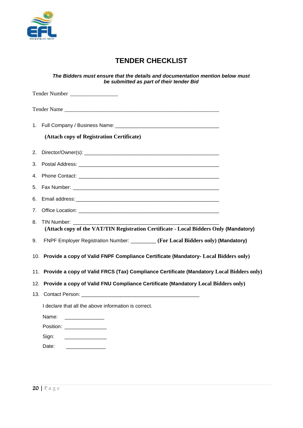

## **TENDER CHECKLIST**

*The Bidders must ensure that the details and documentation mention below must be submitted as part of their tender Bid*

|    | Tender Number                                                                                                   |
|----|-----------------------------------------------------------------------------------------------------------------|
|    | Tender Name                                                                                                     |
|    | 1. Full Company / Business Name: \\connection materials results are not result of the state of the state of the |
|    | (Attach copy of Registration Certificate)                                                                       |
|    |                                                                                                                 |
|    |                                                                                                                 |
|    |                                                                                                                 |
| 5. |                                                                                                                 |
|    |                                                                                                                 |
|    |                                                                                                                 |
| 8. | (Attach copy of the VAT/TIN Registration Certificate - Local Bidders Only (Mandatory)                           |
| 9. | FNPF Employer Registration Number: ________ (For Local Bidders only) (Mandatory)                                |
|    | 10. Provide a copy of Valid FNPF Compliance Certificate (Mandatory- Local Bidders only)                         |
|    | 11. Provide a copy of Valid FRCS (Tax) Compliance Certificate (Mandatory Local Bidders only)                    |
|    | 12. Provide a copy of Valid FNU Compliance Certificate (Mandatory Local Bidders only)                           |
|    |                                                                                                                 |
|    | I declare that all the above information is correct.                                                            |
|    | Name:                                                                                                           |
|    | Position: __________________                                                                                    |
|    | Sign:<br>and the state of the state of the state of                                                             |
|    | Date:                                                                                                           |